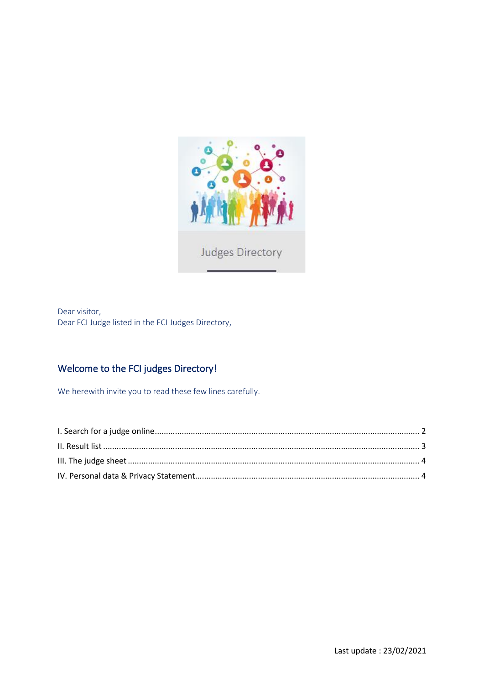

Dear visitor, Dear FCI Judge listed in the FCI Judges Directory,

# Welcome to the FCI judges Directory!

We herewith invite you to read these few lines carefully.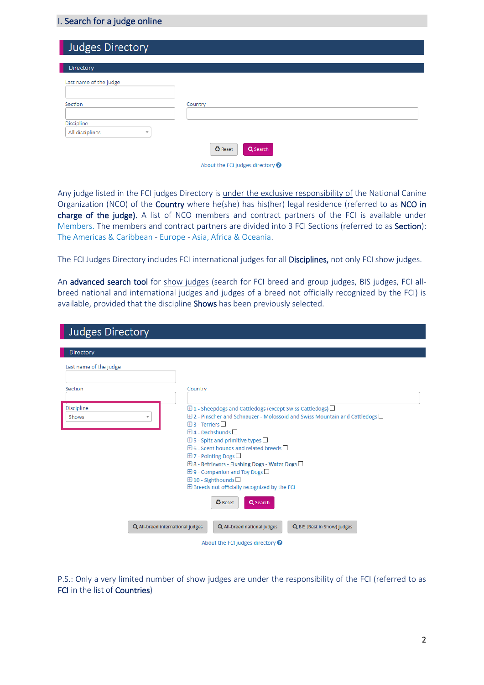## <span id="page-1-0"></span>I. Search for a judge online

| Judges Directory                                         |                                        |
|----------------------------------------------------------|----------------------------------------|
| Directory                                                |                                        |
| Last name of the judge                                   |                                        |
| Section                                                  | Country                                |
| Discipline<br>All disciplines<br>$\overline{\mathbf{v}}$ |                                        |
|                                                          | <b><i>C</i></b> Reset<br>Q Search      |
|                                                          | About the FCI judges directory $\odot$ |

Any judge listed in the FCI judges Directory is under the exclusive responsibility of the National Canine Organization (NCO) of the Country where he(she) has his(her) legal residence (referred to as NCO in charge of the judge). A list of NCO members and contract partners of the FCI is available under [Members.](http://www.fci.be/en/members/) The members and contract partners are divided into 3 FCI Sections (referred to as Section): [The Americas & Caribbean](http://www.fci.be/en/members/members.aspx?section=1) - [Europe](http://www.fci.be/en/members/members.aspx?section=3) - [Asia, Africa & Oceania.](http://www.fci.be/en/members/members.aspx?section=4)

The FCI Judges Directory includes FCI international judges for all Disciplines, not only FCI show judges.

An advanced search tool for show judges (search for FCI breed and group judges, BIS judges, FCI allbreed national and international judges and judges of a breed not officially recognized by the FCI) is available, provided that the discipline Shows has been previously selected.

| <b>Judges Directory</b> |                                                                                                                                                                                |
|-------------------------|--------------------------------------------------------------------------------------------------------------------------------------------------------------------------------|
|                         |                                                                                                                                                                                |
| <b>Directory</b>        |                                                                                                                                                                                |
| Last name of the judge  |                                                                                                                                                                                |
|                         |                                                                                                                                                                                |
| Section                 | Country                                                                                                                                                                        |
| <b>Discipline</b>       |                                                                                                                                                                                |
| Shows                   | $\boxplus$ 1 - Sheepdogs and Cattledogs (except Swiss Cattledogs) $\Box$<br>$\boxplus$ 2 - Pinscher and Schnauzer - Molossoid and Swiss Mountain and Cattledogs $\square$<br>▼ |
|                         | $\boxplus$ 3 - Terriers $\Box$                                                                                                                                                 |
|                         | $\boxplus$ 4 - Dachshunds $\Box$                                                                                                                                               |
|                         | $\boxplus$ 5 - Spitz and primitive types $\square$                                                                                                                             |
|                         | $\boxplus$ 6 - Scent hounds and related breeds $\Box$                                                                                                                          |
|                         | $\boxplus$ 7 - Pointing Dogs $\square$                                                                                                                                         |
|                         | <b>⊞ 8 - Retrievers - Flushing Dogs - Water Dogs</b>                                                                                                                           |
|                         | $\boxplus$ 9 - Companion and Toy Dogs $\square$                                                                                                                                |
|                         | $\boxplus$ 10 - Sighthounds $\square$<br>$\oplus$ Breeds not officially recognized by the FCI                                                                                  |
|                         |                                                                                                                                                                                |
|                         | <b>۞</b> Reset<br>Q Search                                                                                                                                                     |
|                         |                                                                                                                                                                                |
|                         | Q All-breed national judges<br>Q All-breed international judges<br>Q BIS (Best in Show) judges                                                                                 |
|                         | About the FCI judges directory $\bullet$                                                                                                                                       |

P.S.: Only a very limited number of show judges are under the responsibility of the FCI (referred to as FCI in the list of Countries)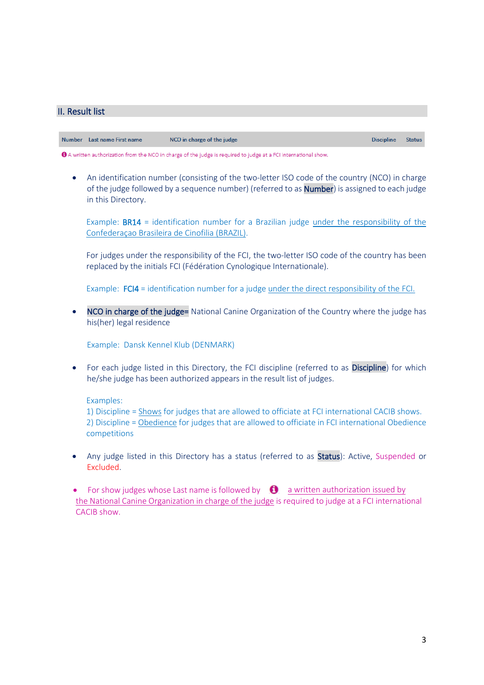## <span id="page-2-0"></span>II. Result list

Number Last name First name NCO in charge of the judge **Discipline Status** 

<sup>1</sup> A written authorization from the NCO in charge of the judge is required to judge at a FCI international show.

• An identification number (consisting of the two-letter ISO code of the country (NCO) in charge of the judge followed by a sequence number) (referred to as Number) is assigned to each judge in this Directory.

Example: BR14 = identification number for a Brazilian judge under the responsibility of the Confederaçao Brasileira de Cinofilia (BRAZIL).

For judges under the responsibility of the FCI, the two-letter ISO code of the country has been replaced by the initials FCI (Fédération Cynologique Internationale).

Example: FCI4 = identification number for a judge under the direct responsibility of the FCI.

NCO in charge of the judge= National Canine Organization of the Country where the judge has his(her) legal residence

Example: Dansk Kennel Klub (DENMARK)

For each judge listed in this Directory, the FCI discipline (referred to as Discipline) for which he/she judge has been authorized appears in the result list of judges.

Examples:

1) Discipline = Shows for judges that are allowed to officiate at FCI international CACIB shows. 2) Discipline = Obedience for judges that are allowed to officiate in FCI international Obedience competitions

• Any judge listed in this Directory has a status (referred to as Status): Active, Suspended or Excluded.

• For show judges whose Last name is followed by  $\bullet$  a written authorization issued by the National Canine Organization in charge of the judge is required to judge at a FCI international CACIB show.